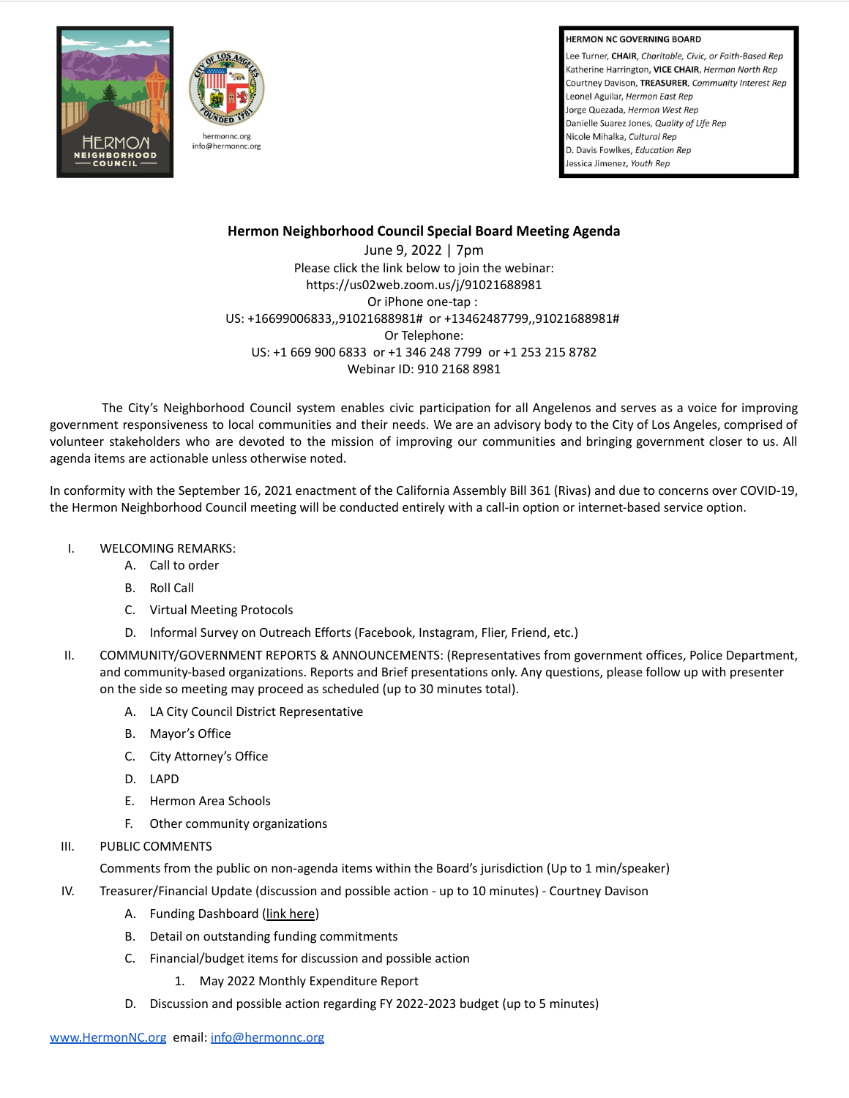**HERMON NC GOVERNING BOARD** 

Lee Turner, CHAIR, Charitable, Civic, or Faith-Based Rep Katherine Harrington, VICE CHAIR, Hermon North Rep Courtney Davison, TREASURER, Community Interest Rep Leonel Aguilar, Hermon East Rep Jorge Quezada, Hermon West Rep Danielle Suarez Jones, Quality of Life Rep Nicole Mihalka, Cultural Rep D. Davis Fowlkes, Education Rep Jessica Jimenez, Youth Rep





# **Hermon Neighborhood Council Special Board Meeting Agenda**

June 9, 2022 | 7pm Please click the link below to join the webinar: https://us02web.zoom.us/j/91021688981 Or iPhone one-tap : US: +16699006833,,91021688981# or +13462487799,,91021688981# Or Telephone: US: +1 669 900 6833 or +1 346 248 7799 or +1 253 215 8782 Webinar ID: 910 2168 8981

The City's Neighborhood Council system enables civic participation for all Angelenos and serves as a voice for improving government responsiveness to local communities and their needs. We are an advisory body to the City of Los Angeles, comprised of volunteer stakeholders who are devoted to the mission of improving our communities and bringing government closer to us. All agenda items are actionable unless otherwise noted.

In conformity with the September 16, 2021 enactment of the California Assembly Bill 361 (Rivas) and due to concerns over COVID-19, the Hermon Neighborhood Council meeting will be conducted entirely with a call-in option or internet-based service option.

- I. WELCOMING REMARKS:
	- A. Call to order
	- B. Roll Call
	- C. Virtual Meeting Protocols
	- D. Informal Survey on Outreach Efforts (Facebook, Instagram, Flier, Friend, etc.)
- II. COMMUNITY/GOVERNMENT REPORTS & ANNOUNCEMENTS: (Representatives from government offices, Police Department, and community-based organizations. Reports and Brief presentations only. Any questions, please follow up with presenter on the side so meeting may proceed as scheduled (up to 30 minutes total).
	- A. LA City Council District Representative
	- B. Mayor's Office
	- C. City Attorney's Office
	- D. LAPD
	- E. Hermon Area Schools
	- F. Other community organizations
- III. PUBLIC COMMENTS

Comments from the public on non-agenda items within the Board's jurisdiction (Up to 1 min/speaker)

- IV. Treasurer/Financial Update (discussion and possible action up to 10 minutes) Courtney Davison
	- A. Funding Dashboard (link [here](https://cityclerk.lacity.org/NCFundPortal/Dashboard.html))
	- B. Detail on outstanding funding commitments
	- C. Financial/budget items for discussion and possible action
		- 1. May 2022 Monthly Expenditure Report
	- D. Discussion and possible action regarding FY 2022-2023 budget (up to 5 minutes)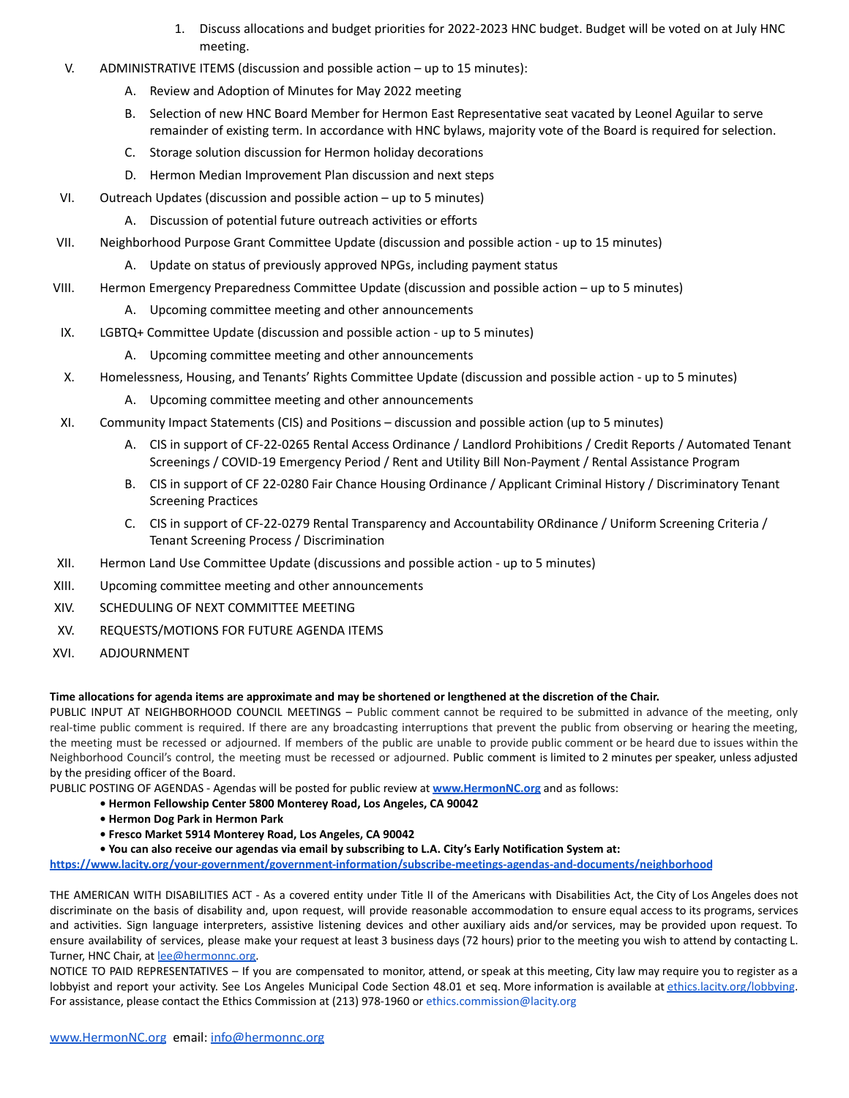- 1. Discuss allocations and budget priorities for 2022-2023 HNC budget. Budget will be voted on at July HNC meeting.
- V. ADMINISTRATIVE ITEMS (discussion and possible action up to 15 minutes):
	- A. Review and Adoption of Minutes for May 2022 meeting
	- B. Selection of new HNC Board Member for Hermon East Representative seat vacated by Leonel Aguilar to serve remainder of existing term. In accordance with HNC bylaws, majority vote of the Board is required for selection.
	- C. Storage solution discussion for Hermon holiday decorations
	- D. Hermon Median Improvement Plan discussion and next steps
- VI. Outreach Updates (discussion and possible action up to 5 minutes)
	- A. Discussion of potential future outreach activities or efforts
- VII. Neighborhood Purpose Grant Committee Update (discussion and possible action up to 15 minutes)
	- A. Update on status of previously approved NPGs, including payment status
- VIII. Hermon Emergency Preparedness Committee Update (discussion and possible action up to 5 minutes)
	- A. Upcoming committee meeting and other announcements
- IX. LGBTQ+ Committee Update (discussion and possible action up to 5 minutes)
	- A. Upcoming committee meeting and other announcements
- X. Homelessness, Housing, and Tenants' Rights Committee Update (discussion and possible action up to 5 minutes)
	- A. Upcoming committee meeting and other announcements
- XI. Community Impact Statements (CIS) and Positions discussion and possible action (up to 5 minutes)
	- A. CIS in support of CF-22-0265 Rental Access Ordinance / Landlord Prohibitions / Credit Reports / Automated Tenant Screenings / COVID-19 Emergency Period / Rent and Utility Bill Non-Payment / Rental Assistance Program
	- B. CIS in support of CF 22-0280 Fair Chance Housing Ordinance / Applicant Criminal History / Discriminatory Tenant Screening Practices
	- C. CIS in support of CF-22-0279 Rental Transparency and Accountability ORdinance / Uniform Screening Criteria / Tenant Screening Process / Discrimination
- XII. Hermon Land Use Committee Update (discussions and possible action up to 5 minutes)
- XIII. Upcoming committee meeting and other announcements
- XIV. SCHEDULING OF NEXT COMMITTEE MEETING
- XV. REQUESTS/MOTIONS FOR FUTURE AGENDA ITEMS
- XVI. ADJOURNMENT

# **Time allocations for agenda items are approximate and may be shortened or lengthened at the discretion of the Chair.**

PUBLIC INPUT AT NEIGHBORHOOD COUNCIL MEETINGS – Public comment cannot be required to be submitted in advance of the meeting, only real-time public comment is required. If there are any broadcasting interruptions that prevent the public from observing or hearing the meeting, the meeting must be recessed or adjourned. If members of the public are unable to provide public comment or be heard due to issues within the Neighborhood Council's control, the meeting must be recessed or adjourned. Public comment is limited to 2 minutes per speaker, unless adjusted by the presiding officer of the Board.

PUBLIC POSTING OF AGENDAS - Agendas will be posted for public review at **[www.HermonNC.org](http://www.hermonnc.org)** and as follows:

- **Hermon Fellowship Center 5800 Monterey Road, Los Angeles, CA 90042**
- **Hermon Dog Park in Hermon Park**
- **Fresco Market 5914 Monterey Road, Los Angeles, CA 90042**
- **You can also receive our agendas via email by subscribing to L.A. City's Early Notification System at:**

**<https://www.lacity.org/your-government/government-information/subscribe-meetings-agendas-and-documents/neighborhood>**

THE AMERICAN WITH DISABILITIES ACT - As a covered entity under Title II of the Americans with Disabilities Act, the City of Los Angeles does not discriminate on the basis of disability and, upon request, will provide reasonable accommodation to ensure equal access to its programs, services and activities. Sign language interpreters, assistive listening devices and other auxiliary aids and/or services, may be provided upon request. To ensure availability of services, please make your request at least 3 business days (72 hours) prior to the meeting you wish to attend by contacting L. Turner, HNC Chair, at [lee@hermonnc.org](mailto:lee@hermonnc.org).

NOTICE TO PAID REPRESENTATIVES – If you are compensated to monitor, attend, or speak at this meeting, City law may require you to register as a lobbyist and report your activity. See Los Angeles Municipal Code Section 48.01 et seq. More information is available at [ethics.lacity.org/lobbying](http://ethics.lacity.org/lobbying). For assistance, please contact the Ethics Commission at (213) 978-1960 or ethics.commission@lacity.org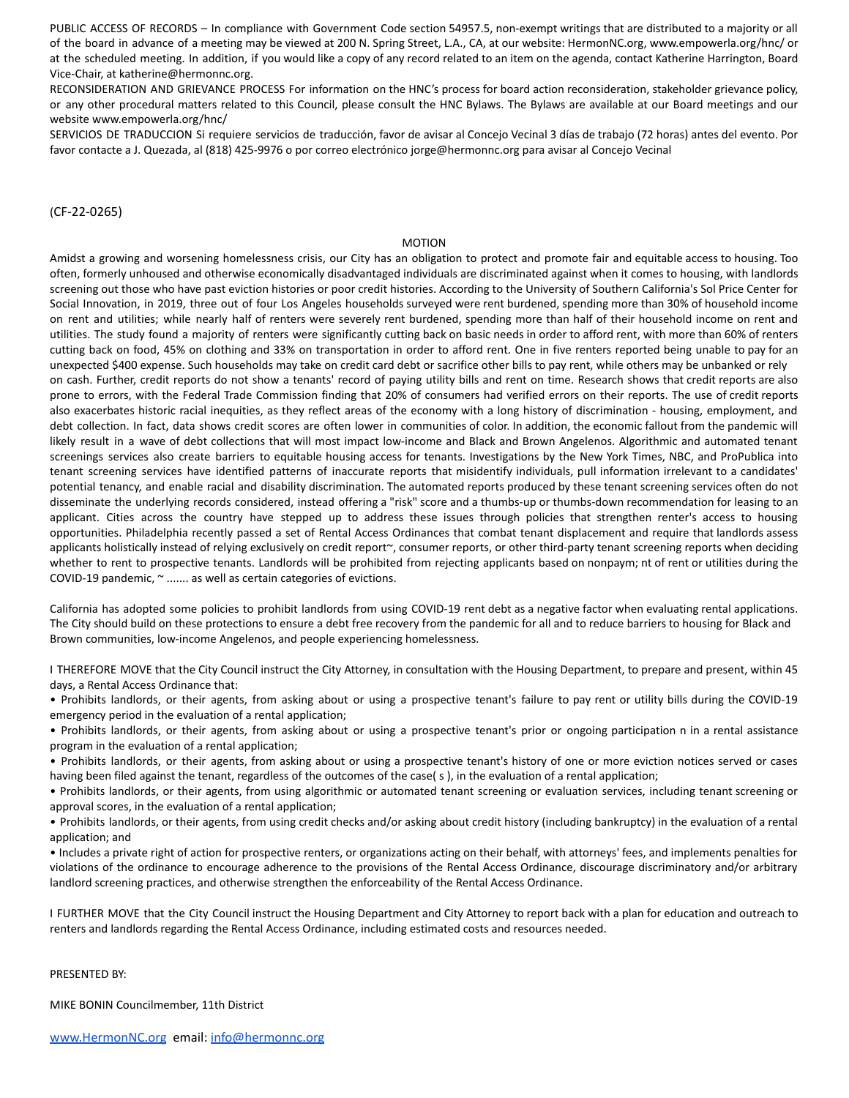PUBLIC ACCESS OF RECORDS – In compliance with Government Code section 54957.5, non-exempt writings that are distributed to a majority or all of the board in advance of a meeting may be viewed at 200 N. Spring Street, L.A., CA, at our website: HermonNC.org, www.empowerla.org/hnc/ or at the scheduled meeting. In addition, if you would like a copy of any record related to an item on the agenda, contact Katherine Harrington, Board Vice-Chair, at katherine@hermonnc.org.

RECONSIDERATION AND GRIEVANCE PROCESS For information on the HNC's process for board action reconsideration, stakeholder grievance policy, or any other procedural matters related to this Council, please consult the HNC Bylaws. The Bylaws are available at our Board meetings and our website www.empowerla.org/hnc/

SERVICIOS DE TRADUCCION Si requiere servicios de traducción, favor de avisar al Concejo Vecinal 3 días de trabajo (72 horas) antes del evento. Por favor contacte a J. Quezada, al (818) 425-9976 o por correo electrónico jorge@hermonnc.org para avisar al Concejo Vecinal

# (CF-22-0265)

#### MOTION

Amidst a growing and worsening homelessness crisis, our City has an obligation to protect and promote fair and equitable access to housing. Too often, formerly unhoused and otherwise economically disadvantaged individuals are discriminated against when it comes to housing, with landlords screening out those who have past eviction histories or poor credit histories. According to the University of Southern California's Sol Price Center for Social Innovation, in 2019, three out of four Los Angeles households surveyed were rent burdened, spending more than 30% of household income on rent and utilities; while nearly half of renters were severely rent burdened, spending more than half of their household income on rent and utilities. The study found a majority of renters were significantly cutting back on basic needs in order to afford rent, with more than 60% of renters cutting back on food, 45% on clothing and 33% on transportation in order to afford rent. One in five renters reported being unable to pay for an unexpected \$400 expense. Such households may take on credit card debt or sacrifice other bills to pay rent, while others may be unbanked or rely on cash. Further, credit reports do not show a tenants' record of paying utility bills and rent on time. Research shows that credit reports are also prone to errors, with the Federal Trade Commission finding that 20% of consumers had verified errors on their reports. The use of credit reports also exacerbates historic racial inequities, as they reflect areas of the economy with a long history of discrimination - housing, employment, and debt collection. In fact, data shows credit scores are often lower in communities of color. In addition, the economic fallout from the pandemic will likely result in a wave of debt collections that will most impact low-income and Black and Brown Angelenos. Algorithmic and automated tenant screenings services also create barriers to equitable housing access for tenants. Investigations by the New York Times, NBC, and ProPublica into tenant screening services have identified patterns of inaccurate reports that misidentify individuals, pull information irrelevant to a candidates' potential tenancy, and enable racial and disability discrimination. The automated reports produced by these tenant screening services often do not disseminate the underlying records considered, instead offering a "risk" score and a thumbs-up or thumbs-down recommendation for leasing to an applicant. Cities across the country have stepped up to address these issues through policies that strengthen renter's access to housing opportunities. Philadelphia recently passed a set of Rental Access Ordinances that combat tenant displacement and require that landlords assess applicants holistically instead of relying exclusively on credit report~, consumer reports, or other third-party tenant screening reports when deciding whether to rent to prospective tenants. Landlords will be prohibited from rejecting applicants based on nonpaym; nt of rent or utilities during the COVID-19 pandemic, ~ ....... as well as certain categories of evictions.

California has adopted some policies to prohibit landlords from using COVID-19 rent debt as a negative factor when evaluating rental applications. The City should build on these protections to ensure a debt free recovery from the pandemic for all and to reduce barriers to housing for Black and Brown communities, low-income Angelenos, and people experiencing homelessness.

I THEREFORE MOVE that the City Council instruct the City Attorney, in consultation with the Housing Department, to prepare and present, within 45 days, a Rental Access Ordinance that:

• Prohibits landlords, or their agents, from asking about or using a prospective tenant's failure to pay rent or utility bills during the COVID-19 emergency period in the evaluation of a rental application;

• Prohibits landlords, or their agents, from asking about or using a prospective tenant's prior or ongoing participation n in a rental assistance program in the evaluation of a rental application;

• Prohibits landlords, or their agents, from asking about or using a prospective tenant's history of one or more eviction notices served or cases having been filed against the tenant, regardless of the outcomes of the case(s), in the evaluation of a rental application;

• Prohibits landlords, or their agents, from using algorithmic or automated tenant screening or evaluation services, including tenant screening or approval scores, in the evaluation of a rental application;

• Prohibits landlords, or their agents, from using credit checks and/or asking about credit history (including bankruptcy) in the evaluation of a rental application; and

• Includes a private right of action for prospective renters, or organizations acting on their behalf, with attorneys' fees, and implements penalties for violations of the ordinance to encourage adherence to the provisions of the Rental Access Ordinance, discourage discriminatory and/or arbitrary landlord screening practices, and otherwise strengthen the enforceability of the Rental Access Ordinance.

I FURTHER MOVE that the City Council instruct the Housing Department and City Attorney to report back with a plan for education and outreach to renters and landlords regarding the Rental Access Ordinance, including estimated costs and resources needed.

## PRESENTED BY:

MIKE BONIN Councilmember, 11th District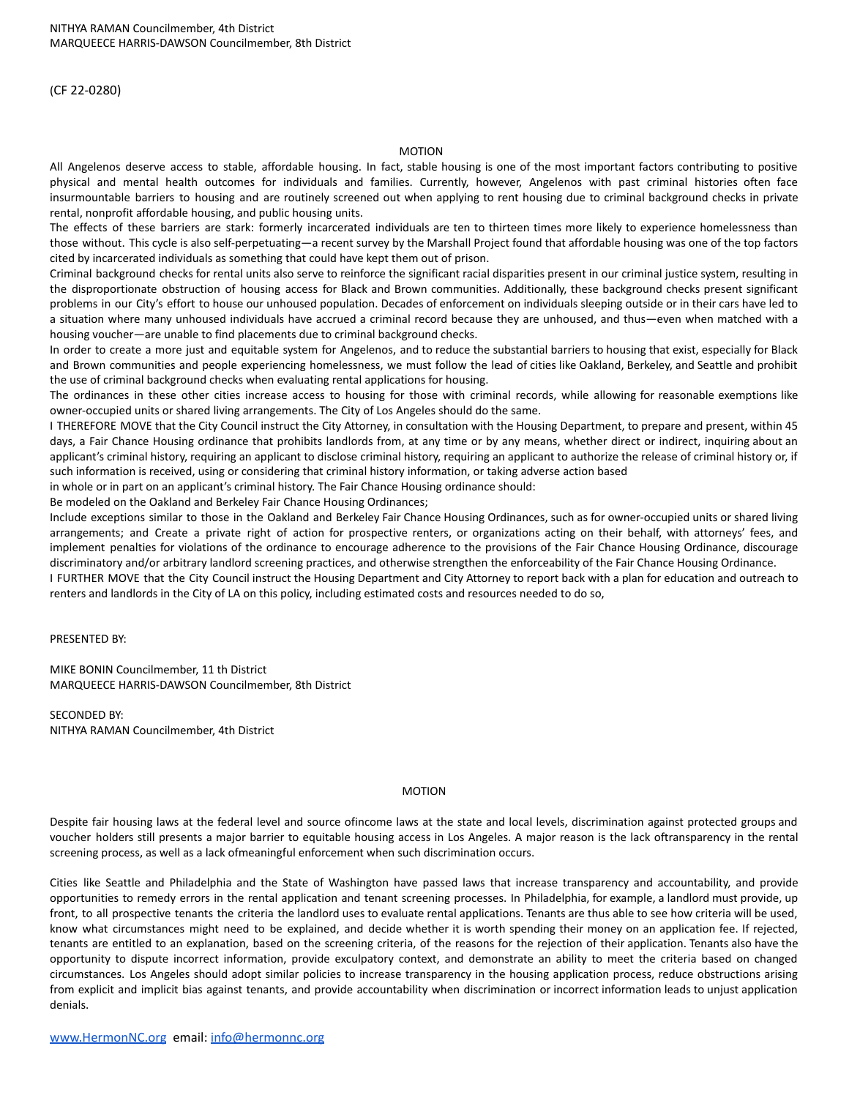(CF 22-0280)

### MOTION

All Angelenos deserve access to stable, affordable housing. In fact, stable housing is one of the most important factors contributing to positive physical and mental health outcomes for individuals and families. Currently, however, Angelenos with past criminal histories often face insurmountable barriers to housing and are routinely screened out when applying to rent housing due to criminal background checks in private rental, nonprofit affordable housing, and public housing units.

The effects of these barriers are stark: formerly incarcerated individuals are ten to thirteen times more likely to experience homelessness than those without. This cycle is also self-perpetuating—a recent survey by the Marshall Project found that affordable housing was one of the top factors cited by incarcerated individuals as something that could have kept them out of prison.

Criminal background checks for rental units also serve to reinforce the significant racial disparities present in our criminal justice system, resulting in the disproportionate obstruction of housing access for Black and Brown communities. Additionally, these background checks present significant problems in our City's effort to house our unhoused population. Decades of enforcement on individuals sleeping outside or in their cars have led to a situation where many unhoused individuals have accrued a criminal record because they are unhoused, and thus—even when matched with a housing voucher—are unable to find placements due to criminal background checks.

In order to create a more just and equitable system for Angelenos, and to reduce the substantial barriers to housing that exist, especially for Black and Brown communities and people experiencing homelessness, we must follow the lead of cities like Oakland, Berkeley, and Seattle and prohibit the use of criminal background checks when evaluating rental applications for housing.

The ordinances in these other cities increase access to housing for those with criminal records, while allowing for reasonable exemptions like owner-occupied units or shared living arrangements. The City of Los Angeles should do the same.

I THEREFORE MOVE that the City Council instruct the City Attorney, in consultation with the Housing Department, to prepare and present, within 45 days, a Fair Chance Housing ordinance that prohibits landlords from, at any time or by any means, whether direct or indirect, inquiring about an applicant's criminal history, requiring an applicant to disclose criminal history, requiring an applicant to authorize the release of criminal history or, if such information is received, using or considering that criminal history information, or taking adverse action based

in whole or in part on an applicant's criminal history. The Fair Chance Housing ordinance should:

Be modeled on the Oakland and Berkeley Fair Chance Housing Ordinances;

Include exceptions similar to those in the Oakland and Berkeley Fair Chance Housing Ordinances, such as for owner-occupied units or shared living arrangements; and Create a private right of action for prospective renters, or organizations acting on their behalf, with attorneys' fees, and implement penalties for violations of the ordinance to encourage adherence to the provisions of the Fair Chance Housing Ordinance, discourage discriminatory and/or arbitrary landlord screening practices, and otherwise strengthen the enforceability of the Fair Chance Housing Ordinance.

I FURTHER MOVE that the City Council instruct the Housing Department and City Attorney to report back with a plan for education and outreach to renters and landlords in the City of LA on this policy, including estimated costs and resources needed to do so,

PRESENTED BY:

MIKE BONIN Councilmember, 11 th District MARQUEECE HARRIS-DAWSON Councilmember, 8th District

SECONDED BY: NITHYA RAMAN Councilmember, 4th District

# MOTION

Despite fair housing laws at the federal level and source ofincome laws at the state and local levels, discrimination against protected groups and voucher holders still presents a major barrier to equitable housing access in Los Angeles. A major reason is the lack oftransparency in the rental screening process, as well as a lack ofmeaningful enforcement when such discrimination occurs.

Cities like Seattle and Philadelphia and the State of Washington have passed laws that increase transparency and accountability, and provide opportunities to remedy errors in the rental application and tenant screening processes. In Philadelphia, for example, a landlord must provide, up front, to all prospective tenants the criteria the landlord uses to evaluate rental applications. Tenants are thus able to see how criteria will be used, know what circumstances might need to be explained, and decide whether it is worth spending their money on an application fee. If rejected, tenants are entitled to an explanation, based on the screening criteria, of the reasons for the rejection of their application. Tenants also have the opportunity to dispute incorrect information, provide exculpatory context, and demonstrate an ability to meet the criteria based on changed circumstances. Los Angeles should adopt similar policies to increase transparency in the housing application process, reduce obstructions arising from explicit and implicit bias against tenants, and provide accountability when discrimination or incorrect information leads to unjust application denials.